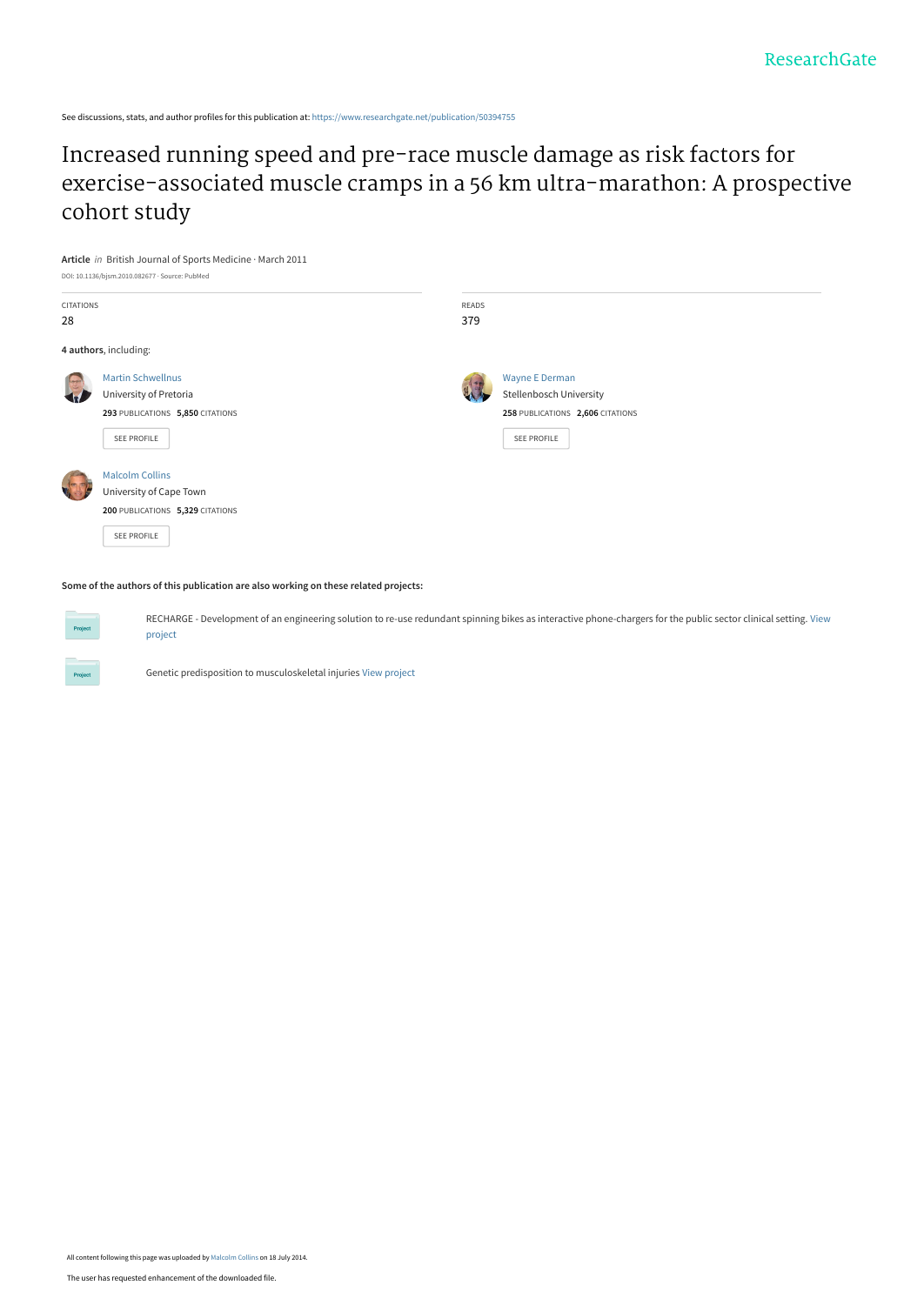See discussions, stats, and author profiles for this publication at: [https://www.researchgate.net/publication/50394755](https://www.researchgate.net/publication/50394755_Increased_running_speed_and_pre-race_muscle_damage_as_risk_factors_for_exercise-associated_muscle_cramps_in_a_56_km_ultra-marathon_A_prospective_cohort_study?enrichId=rgreq-2fb7278f72aefed1a72e2f3121ad8677-XXX&enrichSource=Y292ZXJQYWdlOzUwMzk0NzU1O0FTOjEyMDMxNTM3NjA1MDE3NkAxNDA1Njk2ODI5NDgx&el=1_x_2&_esc=publicationCoverPdf)

Increased running speed and pre-race muscle damage as risk factors for [exercise-associated muscle cramps in a 56 km ultra-marathon: A prospective](https://www.researchgate.net/publication/50394755_Increased_running_speed_and_pre-race_muscle_damage_as_risk_factors_for_exercise-associated_muscle_cramps_in_a_56_km_ultra-marathon_A_prospective_cohort_study?enrichId=rgreq-2fb7278f72aefed1a72e2f3121ad8677-XXX&enrichSource=Y292ZXJQYWdlOzUwMzk0NzU1O0FTOjEyMDMxNTM3NjA1MDE3NkAxNDA1Njk2ODI5NDgx&el=1_x_3&_esc=publicationCoverPdf) cohort study



#### **Some of the authors of this publication are also working on these related projects:**

[RECHARGE - Development of an engineering solution to re-use redundant spinning bikes as interactive phone-chargers for the public sector clinical setting.](https://www.researchgate.net/project/RECHARGE-Development-of-an-engineering-solution-to-re-use-redundant-spinning-bikes-as-interactive-phone-chargers-for-the-public-sector-clinical-setting?enrichId=rgreq-2fb7278f72aefed1a72e2f3121ad8677-XXX&enrichSource=Y292ZXJQYWdlOzUwMzk0NzU1O0FTOjEyMDMxNTM3NjA1MDE3NkAxNDA1Njk2ODI5NDgx&el=1_x_9&_esc=publicationCoverPdf) View project

Genetic predisposition to musculoskeletal injuries [View project](https://www.researchgate.net/project/Genetic-predisposition-to-musculoskeletal-injuries?enrichId=rgreq-2fb7278f72aefed1a72e2f3121ad8677-XXX&enrichSource=Y292ZXJQYWdlOzUwMzk0NzU1O0FTOjEyMDMxNTM3NjA1MDE3NkAxNDA1Njk2ODI5NDgx&el=1_x_9&_esc=publicationCoverPdf)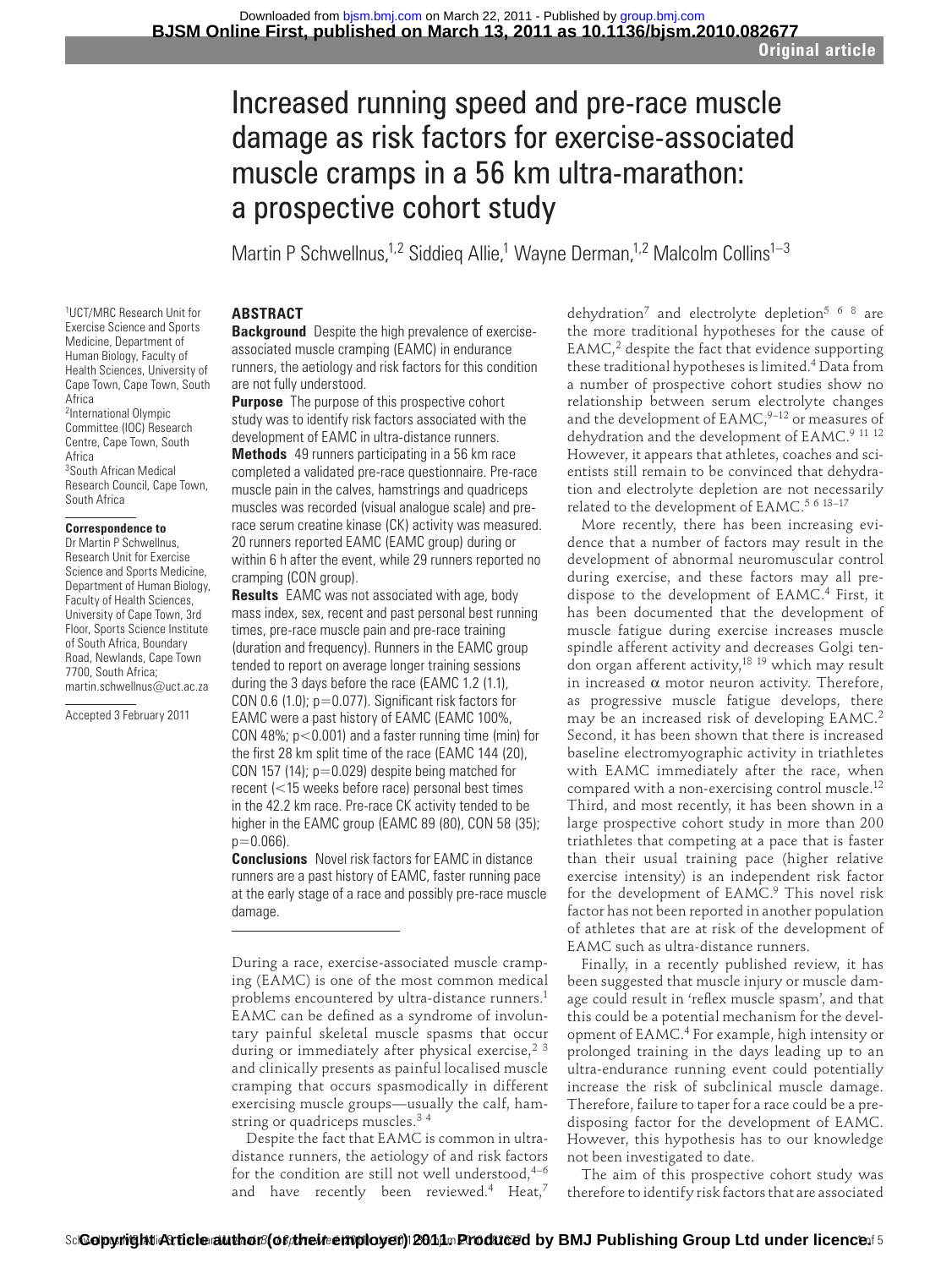# Increased running speed and pre-race muscle damage as risk factors for exercise-associated muscle cramps in a 56 km ultra-marathon: a prospective cohort study

Martin P Schwellnus,<sup>1,2</sup> Siddieq Allie,<sup>1</sup> Wayne Derman,<sup>1,2</sup> Malcolm Collins<sup>1–3</sup>

# **ABSTRACT**

 **Background** Despite the high prevalence of exerciseassociated muscle cramping (EAMC) in endurance runners, the aetiology and risk factors for this condition are not fully understood.

 **Purpose** The purpose of this prospective cohort study was to identify risk factors associated with the development of EAMC in ultra-distance runners.

 **Methods** 49 runners participating in a 56 km race completed a validated pre-race questionnaire. Pre-race muscle pain in the calves, hamstrings and quadriceps muscles was recorded (visual analogue scale) and prerace serum creatine kinase (CK) activity was measured. 20 runners reported EAMC (EAMC group) during or within 6 h after the event, while 29 runners reported no cramping (CON group).

 **Results** EAMC was not associated with age, body mass index, sex, recent and past personal best running times, pre-race muscle pain and pre-race training (duration and frequency). Runners in the EAMC group tended to report on average longer training sessions during the 3 days before the race (EAMC 1.2 (1.1), CON 0.6 (1.0);  $p=0.077$ ). Significant risk factors for EAMC were a past history of EAMC (EAMC 100%, CON 48%;  $p < 0.001$ ) and a faster running time (min) for the first 28 km split time of the race (EAMC 144 (20), CON 157 (14);  $p=0.029$ ) despite being matched for recent (<15 weeks before race) personal best times in the 42.2 km race. Pre-race CK activity tended to be higher in the EAMC group (EAMC 89 (80), CON 58 (35);  $p=0.066$ ).

 **Conclusions** Novel risk factors for EAMC in distance runners are a past history of EAMC, faster running pace at the early stage of a race and possibly pre-race muscle damage.

During a race, exercise-associated muscle cramping (EAMC) is one of the most common medical problems encountered by ultra-distance runners.<sup>1</sup> EAMC can be defined as a syndrome of involuntary painful skeletal muscle spasms that occur during or immediately after physical exercise,  $2^{3}$ and clinically presents as painful localised muscle cramping that occurs spasmodically in different exercising muscle groups—usually the calf, hamstring or quadriceps muscles.<sup>34</sup>

Despite the fact that EAMC is common in ultradistance runners, the aetiology of and risk factors for the condition are still not well understood,  $4-6$ and have recently been reviewed.<sup>4</sup> Heat,<sup>7</sup>

dehydration<sup>7</sup> and electrolyte depletion<sup>5 6 8</sup> are the more traditional hypotheses for the cause of  $EAMC<sub>1</sub><sup>2</sup>$  despite the fact that evidence supporting these traditional hypotheses is limited. 4 Data from a number of prospective cohort studies show no relationship between serum electrolyte changes and the development of  $EAMC<sub>1</sub><sup>9-12</sup>$  or measures of dehydration and the development of EAMC.<sup>9 11 12</sup> However, it appears that athletes, coaches and scientists still remain to be convinced that dehydration and electrolyte depletion are not necessarily related to the development of EAMC.<sup>5 6 13-17</sup>

More recently, there has been increasing evidence that a number of factors may result in the development of abnormal neuromuscular control during exercise, and these factors may all predispose to the development of EAMC.<sup>4</sup> First, it has been documented that the development of muscle fatigue during exercise increases muscle spindle afferent activity and decreases Golgi tendon organ afferent activity, 18 19 which may result in increased  $\alpha$  motor neuron activity. Therefore, as progressive muscle fatigue develops, there may be an increased risk of developing EAMC.<sup>2</sup> Second, it has been shown that there is increased baseline electromyographic activity in triathletes with EAMC immediately after the race, when compared with a non-exercising control muscle.<sup>12</sup> Third, and most recently, it has been shown in a large prospective cohort study in more than 200 triathletes that competing at a pace that is faster than their usual training pace (higher relative exercise intensity) is an independent risk factor for the development of EAMC.<sup>9</sup> This novel risk factor has not been reported in another population of athletes that are at risk of the development of EAMC such as ultra-distance runners.

Finally, in a recently published review, it has been suggested that muscle injury or muscle damage could result in 'reflex muscle spasm', and that this could be a potential mechanism for the development of EAMC. 4 For example, high intensity or prolonged training in the days leading up to an ultra-endurance running event could potentially increase the risk of subclinical muscle damage. Therefore, failure to taper for a race could be a predisposing factor for the development of EAMC. However, this hypothesis has to our knowledge not been investigated to date.

The aim of this prospective cohort study was therefore to identify risk factors that are associated

Medicine, Department of Human Biology, Faculty of Health Sciences, University of Cape Town, Cape Town, South Africa 2International Olympic Committee (IOC) Research Centre, Cape Town, South Africa <sup>3</sup> South African Medical Research Council, Cape Town, South Africa  **Correspondence to** 

1 UCT/MRC Research Unit for Exercise Science and Sports

 Dr Martin P Schwellnus, Research Unit for Exercise Science and Sports Medicine, Department of Human Biology, Faculty of Health Sciences, University of Cape Town, 3rd Floor, Sports Science Institute of South Africa, Boundary Road, Newlands, Cape Town 7700, South Africa; martin.schwellnus@uct.ac.za

Accepted 3 February 2011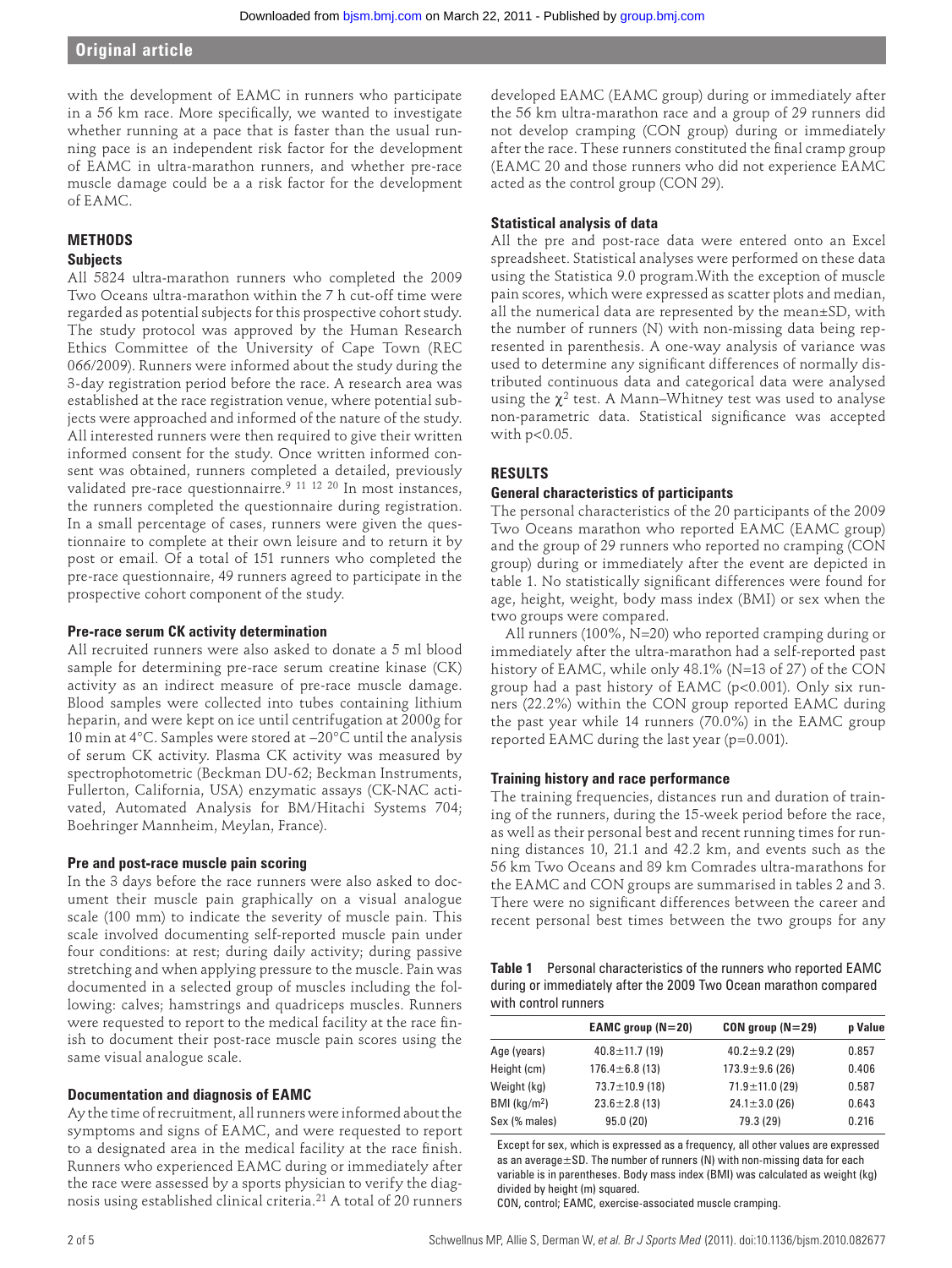**Original article**

with the development of EAMC in runners who participate in a 56 km race. More specifically, we wanted to investigate whether running at a pace that is faster than the usual running pace is an independent risk factor for the development of EAMC in ultra-marathon runners, and whether pre-race muscle damage could be a a risk factor for the development of EAMC.

# **METHODS**

#### **Subjects**

All 5824 ultra-marathon runners who completed the 2009 Two Oceans ultra-marathon within the 7 h cut-off time were regarded as potential subjects for this prospective cohort study. The study protocol was approved by the Human Research Ethics Committee of the University of Cape Town (REC 066/2009). Runners were informed about the study during the 3-day registration period before the race. A research area was established at the race registration venue, where potential subjects were approached and informed of the nature of the study. All interested runners were then required to give their written informed consent for the study. Once written informed consent was obtained, runners completed a detailed, previously validated pre-race questionnairre. 9 11 12 20 In most instances, the runners completed the questionnaire during registration. In a small percentage of cases, runners were given the questionnaire to complete at their own leisure and to return it by post or email. Of a total of 151 runners who completed the pre-race questionnaire, 49 runners agreed to participate in the prospective cohort component of the study.

#### **Pre-race serum CK activity determination**

All recruited runners were also asked to donate a 5 ml blood sample for determining pre-race serum creatine kinase (CK) activity as an indirect measure of pre-race muscle damage. Blood samples were collected into tubes containing lithium heparin, and were kept on ice until centrifugation at 2000g for 10 min at 4°C. Samples were stored at −20°C until the analysis of serum CK activity. Plasma CK activity was measured by spectrophotometric (Beckman DU-62; Beckman Instruments, Fullerton, California, USA) enzymatic assays (CK-NAC activated, Automated Analysis for BM/Hitachi Systems 704; Boehringer Mannheim, Meylan, France).

#### **Pre and post-race muscle pain scoring**

In the 3 days before the race runners were also asked to document their muscle pain graphically on a visual analogue scale (100 mm) to indicate the severity of muscle pain. This scale involved documenting self-reported muscle pain under four conditions: at rest; during daily activity; during passive stretching and when applying pressure to the muscle. Pain was documented in a selected group of muscles including the following: calves; hamstrings and quadriceps muscles. Runners were requested to report to the medical facility at the race finish to document their post-race muscle pain scores using the same visual analogue scale.

#### **Documentation and diagnosis of EAMC**

Ay the time of recruitment, all runners were informed about the symptoms and signs of EAMC, and were requested to report to a designated area in the medical facility at the race finish. Runners who experienced EAMC during or immediately after the race were assessed by a sports physician to verify the diagnosis using established clinical criteria. 21 A total of 20 runners

developed EAMC (EAMC group) during or immediately after the 56 km ultra-marathon race and a group of 29 runners did not develop cramping (CON group) during or immediately after the race. These runners constituted the final cramp group (EAMC 20 and those runners who did not experience EAMC acted as the control group (CON 29).

#### **Statistical analysis of data**

All the pre and post-race data were entered onto an Excel spreadsheet. Statistical analyses were performed on these data using the Statistica 9.0 program.With the exception of muscle pain scores, which were expressed as scatter plots and median, all the numerical data are represented by the mean±SD, with the number of runners (N) with non-missing data being represented in parenthesis. A one-way analysis of variance was used to determine any significant differences of normally distributed continuous data and categorical data were analysed using the  $\chi^2$  test. A Mann–Whitney test was used to analyse non-parametric data. Statistical significance was accepted with  $p<0.05$ .

### **RESULTS**

#### **General characteristics of participants**

The personal characteristics of the 20 participants of the 2009 Two Oceans marathon who reported EAMC (EAMC group) and the group of 29 runners who reported no cramping (CON group) during or immediately after the event are depicted in table 1. No statistically significant differences were found for age, height, weight, body mass index (BMI) or sex when the two groups were compared.

All runners (100%, N=20) who reported cramping during or immediately after the ultra-marathon had a self-reported past history of EAMC, while only 48.1% (N=13 of 27) of the CON group had a past history of EAMC (p<0.001). Only six runners (22.2%) within the CON group reported EAMC during the past year while 14 runners (70.0%) in the EAMC group reported EAMC during the last year (p=0.001).

#### **Training history and race performance**

The training frequencies, distances run and duration of training of the runners, during the 15-week period before the race, as well as their personal best and recent running times for running distances 10, 21.1 and 42.2 km, and events such as the 56 km Two Oceans and 89 km Comrades ultra-marathons for the EAMC and CON groups are summarised in tables 2 and 3. There were no significant differences between the career and recent personal best times between the two groups for any

| <b>Table 1</b> Personal characteristics of the runners who reported EAMC |
|--------------------------------------------------------------------------|
| during or immediately after the 2009 Two Ocean marathon compared         |
| with control runners                                                     |

|                         | EAMC group $(N=20)$  | $CON group (N=29)$   | p Value |
|-------------------------|----------------------|----------------------|---------|
| Age (years)             | $40.8 \pm 11.7$ (19) | $40.2 \pm 9.2$ (29)  | 0.857   |
| Height (cm)             | $176.4 \pm 6.8$ (13) | $173.9 \pm 9.6$ (26) | 0.406   |
| Weight (kg)             | $73.7 \pm 10.9$ (18) | $71.9 \pm 11.0$ (29) | 0.587   |
| BMI ( $\text{kg/m}^2$ ) | $23.6 \pm 2.8$ (13)  | $24.1 \pm 3.0$ (26)  | 0.643   |
| Sex (% males)           | 95.0(20)             | 79.3 (29)            | 0.216   |

 Except for sex, which is expressed as a frequency, all other values are expressed as an average±SD. The number of runners (N) with non-missing data for each variable is in parentheses. Body mass index (BMI) was calculated as weight (kg) divided by height (m) squared.

CON, control; EAMC, exercise-associated muscle cramping.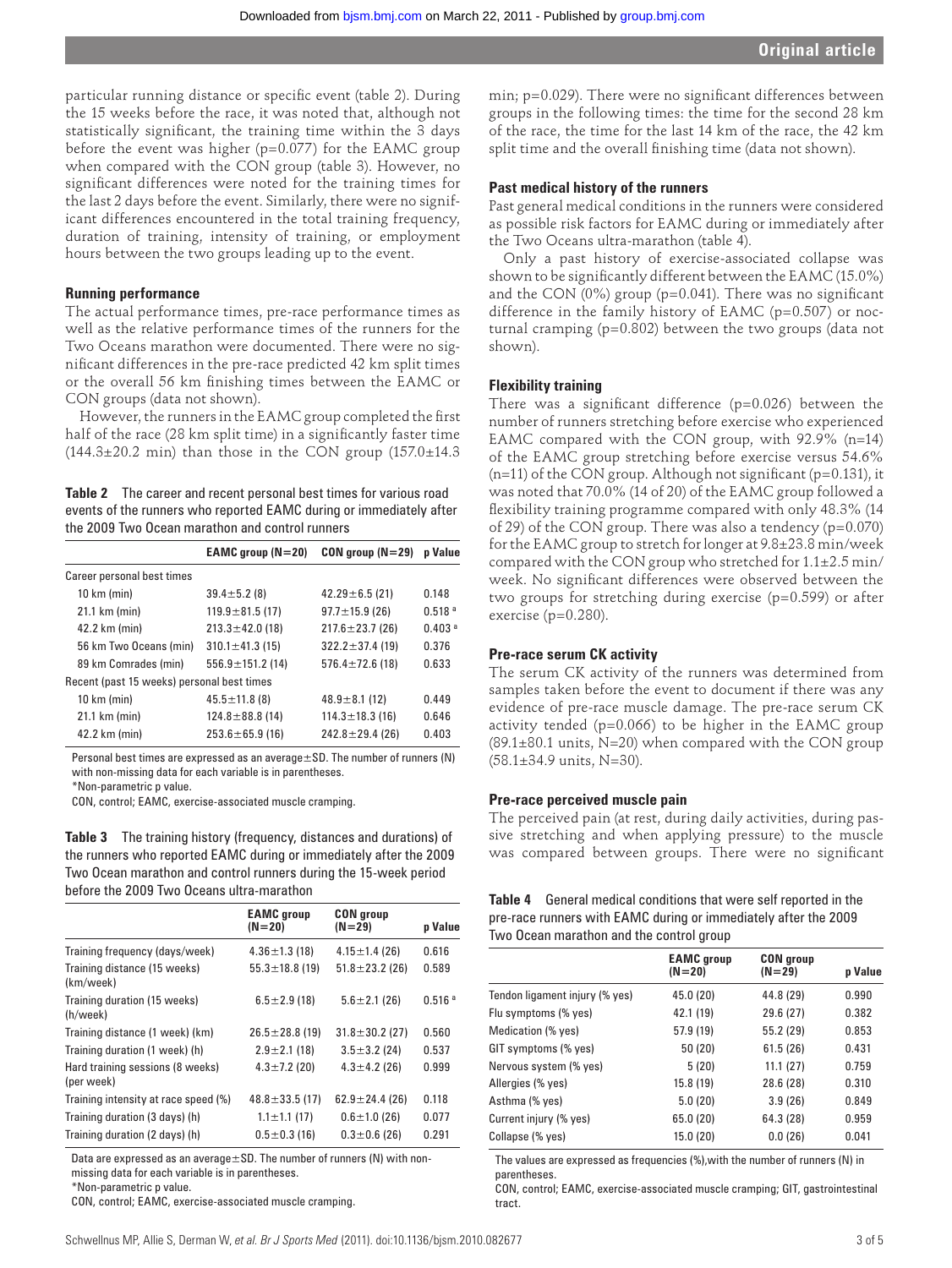particular running distance or specific event (table 2). During the 15 weeks before the race, it was noted that, although not statistically significant, the training time within the 3 days before the event was higher ( $p=0.077$ ) for the EAMC group when compared with the CON group (table 3). However, no significant differences were noted for the training times for the last 2 days before the event. Similarly, there were no significant differences encountered in the total training frequency, duration of training, intensity of training, or employment hours between the two groups leading up to the event.

#### **Running performance**

The actual performance times, pre-race performance times as well as the relative performance times of the runners for the Two Oceans marathon were documented. There were no significant differences in the pre-race predicted 42 km split times or the overall 56 km finishing times between the EAMC or CON groups (data not shown).

However, the runners in the EAMC group completed the first half of the race (28 km split time) in a significantly faster time  $(144.3\pm20.2 \text{ min})$  than those in the CON group  $(157.0\pm14.3 \text{ m})$ 

 **Table 2** The career and recent personal best times for various road events of the runners who reported EAMC during or immediately after the 2009 Two Ocean marathon and control runners

|                                            | EAMC group $(N=20)$    | $COM$ group ( $N=29$ ) | <b>p</b> Value     |
|--------------------------------------------|------------------------|------------------------|--------------------|
| Career personal best times                 |                        |                        |                    |
| 10 km (min)                                | $39.4 \pm 5.2$ (8)     | $42.29 \pm 6.5$ (21)   | 0.148              |
| 21.1 km (min)                              | $119.9 \pm 81.5$ (17)  | $97.7 \pm 15.9$ (26)   | 0.518 <sup>a</sup> |
| 42.2 km (min)                              | $213.3 \pm 42.0$ (18)  | $217.6 \pm 23.7$ (26)  | 0.403 <sup>a</sup> |
| 56 km Two Oceans (min)                     | $310.1 \pm 41.3$ (15)  | $322.2 \pm 37.4$ (19)  | 0.376              |
| 89 km Comrades (min)                       | $556.9 \pm 151.2$ (14) | $576.4 \pm 72.6$ (18)  | 0.633              |
| Recent (past 15 weeks) personal best times |                        |                        |                    |
| 10 km (min)                                | $45.5 \pm 11.8$ (8)    | $48.9 \pm 8.1$ (12)    | 0.449              |
| 21.1 km (min)                              | $124.8 \pm 88.8$ (14)  | $114.3 \pm 18.3$ (16)  | 0.646              |
| 42.2 km (min)                              | $253.6 \pm 65.9$ (16)  | $242.8 \pm 29.4$ (26)  | 0.403              |

 Personal best times are expressed as an average±SD. The number of runners (N) with non-missing data for each variable is in parentheses.

\*Non-parametric p value.

CON, control; EAMC, exercise-associated muscle cramping.

 **Table 3** The training history (frequency, distances and durations) of the runners who reported EAMC during or immediately after the 2009 Two Ocean marathon and control runners during the 15-week period before the 2009 Two Oceans ultra-marathon

|                                                | <b>EAMC</b> group<br>$(N = 20)$ | <b>CON</b> group<br>$(N = 29)$ | p Value            |
|------------------------------------------------|---------------------------------|--------------------------------|--------------------|
| Training frequency (days/week)                 | $4.36 \pm 1.3$ (18)             | $4.15 \pm 1.4$ (26)            | 0.616              |
| Training distance (15 weeks)<br>(km/week)      | $55.3 \pm 18.8$ (19)            | $51.8 \pm 23.2$ (26)           | 0.589              |
| Training duration (15 weeks)<br>(h/week)       | $6.5 \pm 2.9$ (18)              | $5.6 \pm 2.1$ (26)             | 0.516 <sup>a</sup> |
| Training distance (1 week) (km)                | $26.5 \pm 28.8$ (19)            | $31.8 \pm 30.2$ (27)           | 0.560              |
| Training duration (1 week) (h)                 | $2.9 \pm 2.1$ (18)              | $3.5 \pm 3.2$ (24)             | 0.537              |
| Hard training sessions (8 weeks)<br>(per week) | $4.3 \pm 7.2$ (20)              | $4.3 \pm 4.2$ (26)             | 0.999              |
| Training intensity at race speed (%)           | $48.8 \pm 33.5$ (17)            | $62.9 \pm 24.4$ (26)           | 0.118              |
| Training duration (3 days) (h)                 | $1.1 \pm 1.1$ (17)              | $0.6 \pm 1.0$ (26)             | 0.077              |
| Training duration (2 days) (h)                 | $0.5 \pm 0.3$ (16)              | $0.3 \pm 0.6$ (26)             | 0.291              |

Data are expressed as an average $\pm$ SD. The number of runners (N) with nonmissing data for each variable is in parentheses.

\*Non-parametric p value.

CON, control; EAMC, exercise-associated muscle cramping.

min;  $p=0.029$ ). There were no significant differences between groups in the following times: the time for the second 28 km of the race, the time for the last 14 km of the race, the 42 km split time and the overall finishing time (data not shown).

#### **Past medical history of the runners**

Past general medical conditions in the runners were considered as possible risk factors for EAMC during or immediately after the Two Oceans ultra-marathon (table 4).

Only a past history of exercise-associated collapse was shown to be significantly different between the EAMC (15.0%) and the CON (0%) group (p=0.041). There was no significant difference in the family history of EAMC ( $p=0.507$ ) or nocturnal cramping (p=0.802) between the two groups (data not shown).

#### **Flexibility training**

There was a significant difference ( $p=0.026$ ) between the number of runners stretching before exercise who experienced EAMC compared with the CON group, with 92.9% (n=14) of the EAMC group stretching before exercise versus 54.6% (n=11) of the CON group. Although not significant (p=0.131), it was noted that 70.0% (14 of 20) of the EAMC group followed a flexibility training programme compared with only 48.3% (14 of 29) of the CON group. There was also a tendency (p=0.070) for the EAMC group to stretch for longer at 9.8±23.8 min/week compared with the CON group who stretched for 1.1±2.5 min/ week. No significant differences were observed between the two groups for stretching during exercise (p=0.599) or after exercise ( $p=0.280$ ).

#### **Pre-race serum CK activity**

The serum CK activity of the runners was determined from samples taken before the event to document if there was any evidence of pre-race muscle damage. The pre-race serum CK activity tended (p=0.066) to be higher in the EAMC group  $(89.1\pm80.1$  units, N=20) when compared with the CON group (58.1±34.9 units, N=30).

#### **Pre-race perceived muscle pain**

The perceived pain (at rest, during daily activities, during passive stretching and when applying pressure) to the muscle was compared between groups. There were no significant

| Table 4 | General medical conditions that were self reported in the       |
|---------|-----------------------------------------------------------------|
|         | pre-race runners with EAMC during or immediately after the 2009 |
|         | Two Ocean marathon and the control group                        |

|                                | <b>EAMC</b> group<br>$(N = 20)$ | <b>CON</b> group<br>$(N=29)$ | p Value |
|--------------------------------|---------------------------------|------------------------------|---------|
| Tendon ligament injury (% yes) | 45.0 (20)                       | 44.8 (29)                    | 0.990   |
| Flu symptoms (% yes)           | 42.1 (19)                       | 29.6 (27)                    | 0.382   |
| Medication (% yes)             | 57.9 (19)                       | 55.2 (29)                    | 0.853   |
| GIT symptoms (% yes)           | 50(20)                          | 61.5(26)                     | 0.431   |
| Nervous system (% yes)         | 5(20)                           | 11.1(27)                     | 0.759   |
| Allergies (% yes)              | 15.8 (19)                       | 28.6 (28)                    | 0.310   |
| Asthma (% yes)                 | 5.0(20)                         | 3.9(26)                      | 0.849   |
| Current injury (% yes)         | 65.0 (20)                       | 64.3 (28)                    | 0.959   |
| Collapse (% yes)               | 15.0 (20)                       | 0.0(26)                      | 0.041   |

 The values are expressed as frequencies (%),with the number of runners (N) in parentheses.

 CON, control; EAMC, exercise-associated muscle cramping; GIT, gastrointestinal tract.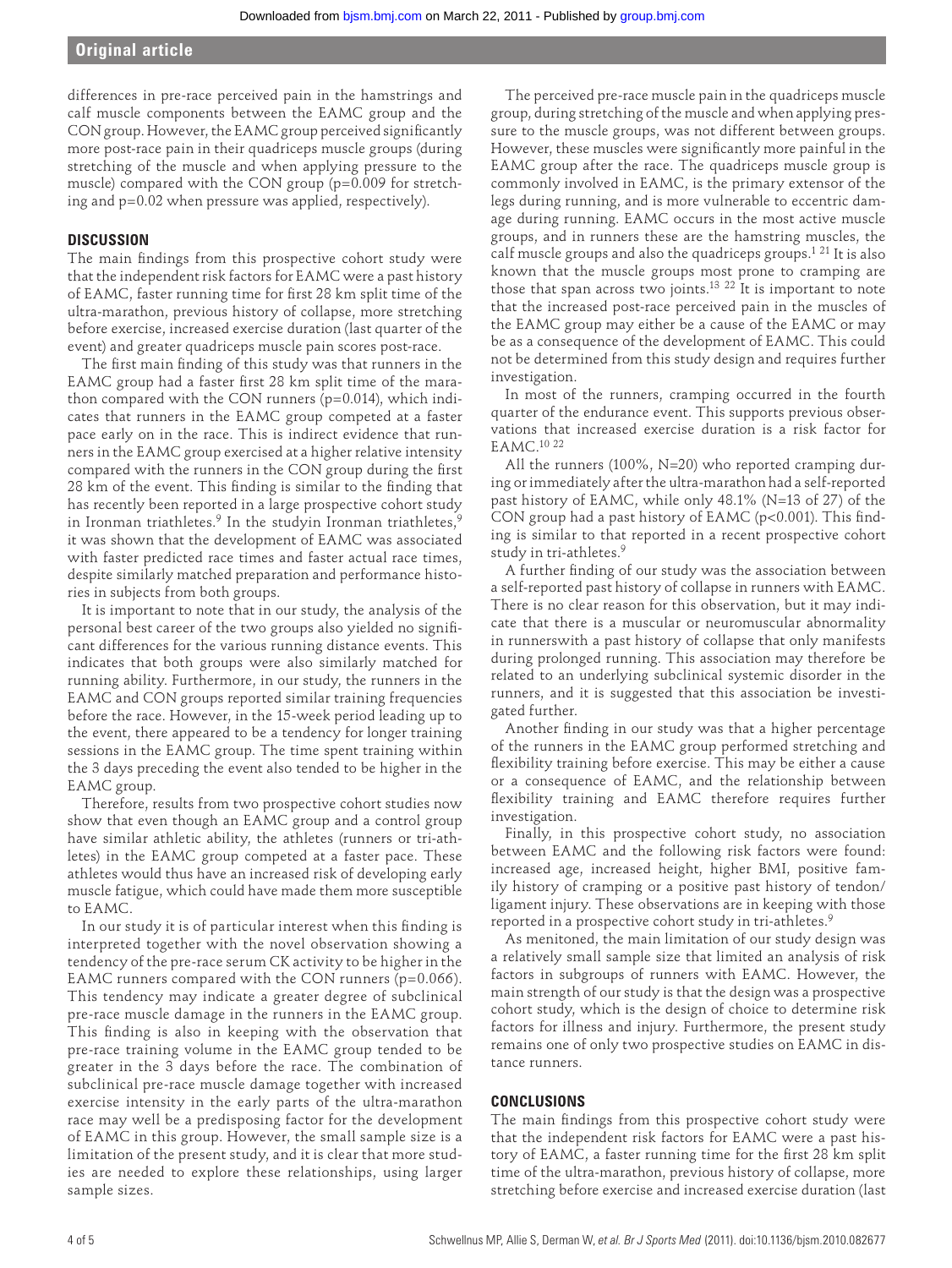# **Original article**

differences in pre-race perceived pain in the hamstrings and calf muscle components between the EAMC group and the CON group. However, the EAMC group perceived significantly more post-race pain in their quadriceps muscle groups (during stretching of the muscle and when applying pressure to the muscle) compared with the CON group (p=0.009 for stretching and p=0.02 when pressure was applied, respectively).

# **DISCUSSION**

The main findings from this prospective cohort study were that the independent risk factors for EAMC were a past history of EAMC, faster running time for first 28 km split time of the ultra-marathon, previous history of collapse, more stretching before exercise, increased exercise duration (last quarter of the event) and greater quadriceps muscle pain scores post-race.

The first main finding of this study was that runners in the EAMC group had a faster first 28 km split time of the marathon compared with the CON runners (p=0.014), which indicates that runners in the EAMC group competed at a faster pace early on in the race. This is indirect evidence that runners in the EAMC group exercised at a higher relative intensity compared with the runners in the CON group during the first 28 km of the event. This finding is similar to the finding that has recently been reported in a large prospective cohort study in Ironman triathletes.<sup>9</sup> In the studyin Ironman triathletes,<sup>9</sup> it was shown that the development of EAMC was associated with faster predicted race times and faster actual race times, despite similarly matched preparation and performance histories in subjects from both groups.

It is important to note that in our study, the analysis of the personal best career of the two groups also yielded no significant differences for the various running distance events. This indicates that both groups were also similarly matched for running ability. Furthermore, in our study, the runners in the EAMC and CON groups reported similar training frequencies before the race. However, in the 15-week period leading up to the event, there appeared to be a tendency for longer training sessions in the EAMC group. The time spent training within the 3 days preceding the event also tended to be higher in the EAMC group.

Therefore, results from two prospective cohort studies now show that even though an EAMC group and a control group have similar athletic ability, the athletes (runners or tri-athletes) in the EAMC group competed at a faster pace. These athletes would thus have an increased risk of developing early muscle fatigue, which could have made them more susceptible to EAMC.

In our study it is of particular interest when this finding is interpreted together with the novel observation showing a tendency of the pre-race serum CK activity to be higher in the EAMC runners compared with the CON runners (p=0.066). This tendency may indicate a greater degree of subclinical pre-race muscle damage in the runners in the EAMC group. This finding is also in keeping with the observation that pre-race training volume in the EAMC group tended to be greater in the 3 days before the race. The combination of subclinical pre-race muscle damage together with increased exercise intensity in the early parts of the ultra-marathon race may well be a predisposing factor for the development of EAMC in this group. However, the small sample size is a limitation of the present study, and it is clear that more studies are needed to explore these relationships, using larger sample sizes.

The perceived pre-race muscle pain in the quadriceps muscle group, during stretching of the muscle and when applying pressure to the muscle groups, was not different between groups. However, these muscles were significantly more painful in the EAMC group after the race. The quadriceps muscle group is commonly involved in EAMC, is the primary extensor of the legs during running, and is more vulnerable to eccentric damage during running. EAMC occurs in the most active muscle groups, and in runners these are the hamstring muscles, the calf muscle groups and also the quadriceps groups.<sup>1 21</sup> It is also known that the muscle groups most prone to cramping are those that span across two joints.<sup>13 22</sup> It is important to note that the increased post-race perceived pain in the muscles of the EAMC group may either be a cause of the EAMC or may be as a consequence of the development of EAMC. This could not be determined from this study design and requires further investigation.

In most of the runners, cramping occurred in the fourth quarter of the endurance event. This supports previous observations that increased exercise duration is a risk factor for EAMC.<sup>10 22</sup>

All the runners (100%, N=20) who reported cramping during or immediately after the ultra-marathon had a self-reported past history of EAMC, while only 48.1% (N=13 of 27) of the CON group had a past history of EAMC ( $p<0.001$ ). This finding is similar to that reported in a recent prospective cohort study in tri-athletes.<sup>9</sup>

A further finding of our study was the association between a self-reported past history of collapse in runners with EAMC. There is no clear reason for this observation, but it may indicate that there is a muscular or neuromuscular abnormality in runnerswith a past history of collapse that only manifests during prolonged running. This association may therefore be related to an underlying subclinical systemic disorder in the runners, and it is suggested that this association be investigated further.

Another finding in our study was that a higher percentage of the runners in the EAMC group performed stretching and flexibility training before exercise. This may be either a cause or a consequence of EAMC, and the relationship between flexibility training and EAMC therefore requires further investigation.

Finally, in this prospective cohort study, no association between EAMC and the following risk factors were found: increased age, increased height, higher BMI, positive family history of cramping or a positive past history of tendon/ ligament injury. These observations are in keeping with those reported in a prospective cohort study in tri-athletes. 9

As menitoned, the main limitation of our study design was a relatively small sample size that limited an analysis of risk factors in subgroups of runners with EAMC. However, the main strength of our study is that the design was a prospective cohort study, which is the design of choice to determine risk factors for illness and injury. Furthermore, the present study remains one of only two prospective studies on EAMC in distance runners.

#### **CONCLUSIONS**

The main findings from this prospective cohort study were that the independent risk factors for EAMC were a past history of EAMC, a faster running time for the first 28 km split time of the ultra-marathon, previous history of collapse, more stretching before exercise and increased exercise duration (last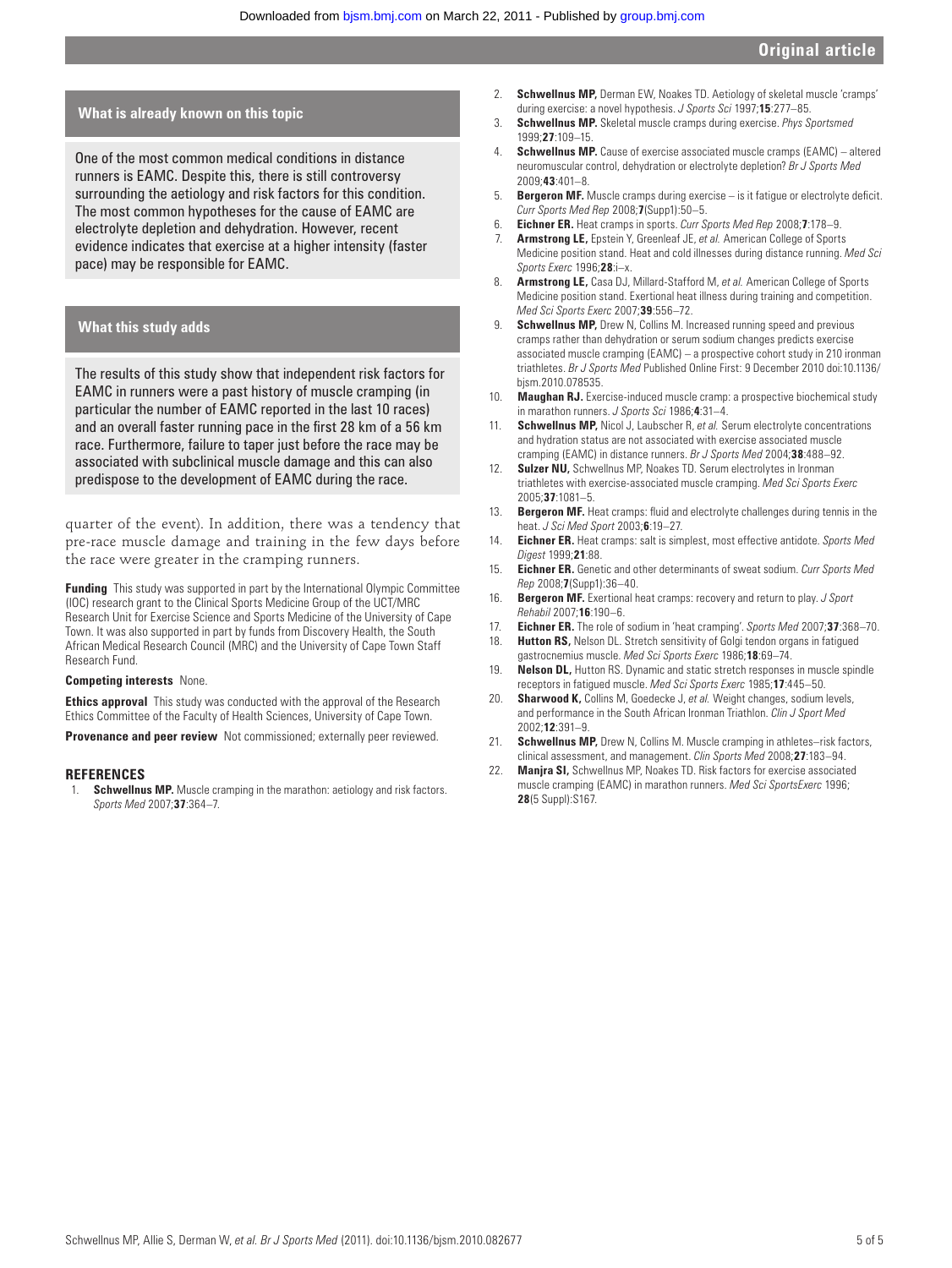#### **What is already known on this topic**

 One of the most common medical conditions in distance runners is EAMC. Despite this, there is still controversy surrounding the aetiology and risk factors for this condition. The most common hypotheses for the cause of EAMC are electrolyte depletion and dehydration. However, recent evidence indicates that exercise at a higher intensity (faster pace) may be responsible for EAMC.

### **What this study adds**

 The results of this study show that independent risk factors for EAMC in runners were a past history of muscle cramping (in particular the number of EAMC reported in the last 10 races) and an overall faster running pace in the first 28 km of a 56 km race. Furthermore, failure to taper just before the race may be associated with subclinical muscle damage and this can also predispose to the development of EAMC during the race.

quarter of the event). In addition, there was a tendency that pre-race muscle damage and training in the few days before the race were greater in the cramping runners.

**Funding** This study was supported in part by the International Olympic Committee (IOC) research grant to the Clinical Sports Medicine Group of the UCT/MRC Research Unit for Exercise Science and Sports Medicine of the University of Cape Town. It was also supported in part by funds from Discovery Health, the South African Medical Research Council (MRC) and the University of Cape Town Staff Research Fund.

#### **Competing interests** None.

**Ethics approval** This study was conducted with the approval of the Research Ethics Committee of the Faculty of Health Sciences, University of Cape Town.

**Provenance and peer review** Not commissioned; externally peer reviewed.

#### **REFERENCES**

**Schwellnus MP.** Muscle cramping in the marathon: aetiology and risk factors. *Sports Med* 2007 ; **37** : 364 – 7 .

- 2. **Schwellnus MP,** Derman EW, Noakes TD. Aetiology of skeletal muscle 'cramps' during exercise: a novel hypothesis. *J Sports Sci* 1997;15:277-85
- 3. **Schwellnus MP.** Skeletal muscle cramps during exercise. *Phys Sportsmed* 1999 ; **27** : 109 – 15 .
- 4. **Schwellnus MP.** Cause of exercise associated muscle cramps (EAMC) altered neuromuscular control, dehydration or electrolyte depletion? *Br J Sports Med* 2009 ; **43** : 401 – 8 .
- 5. **Bergeron MF.** Muscle cramps during exercise is it fatigue or electrolyte deficit. *Curr Sports Med Rep* 2008 ; **7** (Supp1): 50 – 5 .
- 6. **Eichner ER.** Heat cramps in sports. *Curr Sports Med Rep* 2008 ; **7** : 178 9 .
- 7. **Armstrong LE,** Epstein Y, Greenleaf JE, *et al.* American College of Sports Medicine position stand. Heat and cold illnesses during distance running. *Med Sci Sports Exerc* 1996 **28**  $i - x$
- 8. **Armstrong LE,** Casa DJ, Millard-Stafford M, *et al.* American College of Sports Medicine position stand. Exertional heat illness during training and competition. *Med Sci Sports Exerc* 2007 ; **39** : 556 – 72 .
- 9. **Schwellnus MP,** Drew N, Collins M. Increased running speed and previous cramps rather than dehydration or serum sodium changes predicts exercise associated muscle cramping (EAMC) – a prospective cohort study in 210 ironman triathletes. *Br J Sports Med* Published Online First: 9 December 2010 doi:10.1136/ bjsm.2010.078535.
- 10. **Maughan RJ.** Exercise-induced muscle cramp: a prospective biochemical study in marathon runners. *J Sports Sci* 1986;4:31-4.
- 11. **Schwellnus MP,** Nicol J, Laubscher R, *et al.* Serum electrolyte concentrations and hydration status are not associated with exercise associated muscle cramping (EAMC) in distance runners. *Br J Sports Med* 2004:38:488-92.
- 12. **Sulzer NU,** Schwellnus MP, Noakes TD. Serum electrolytes in Ironman triathletes with exercise-associated muscle cramping. *Med Sci Sports Exerc* 2005 ; **37** : 1081 – 5 .
- 13. **Bergeron MF.** Heat cramps: fluid and electrolyte challenges during tennis in the heat. *J Sci Med Sport* 2003; 6:19-27.
- 14. **Eichner ER.** Heat cramps: salt is simplest, most effective antidote. *Sports Med Digest* 1999 ; **21** : 88 .
- 15. **Eichner ER.** Genetic and other determinants of sweat sodium. *Curr Sports Med Rep* 2008 ; **7** (Supp1): 36 – 40 .
- 16. **Bergeron MF.** Exertional heat cramps: recovery and return to play. *J Sport Rehabil* 2007 ; **16** : 190 – 6 .
- 17. **Eichner ER.** The role of sodium in 'heat cramping'. *Sports Med* 2007;37:368-70.
- 18. **Hutton RS,** Nelson DL. Stretch sensitivity of Golgi tendon organs in fatigued gastrocnemius muscle. Med Sci Sports Exerc 1986;18:69-74.
- 19. **Nelson DL,** Hutton RS. Dynamic and static stretch responses in muscle spindle receptors in fatigued muscle. Med Sci Sports Exerc 1985;17:445-50
- 20. **Sharwood K,** Collins M, Goedecke J, *et al.* Weight changes, sodium levels, and performance in the South African Ironman Triathlon. *Clin J Sport Med* 2002 ; **12** : 391 – 9 .
- 21. **Schwellnus MP,** Drew N, Collins M. Muscle cramping in athletes–risk factors, clinical assessment, and management. *Clin Sports Med* 2008;27:183-94.
- 22. **Manjra SI,** Schwellnus MP, Noakes TD. Risk factors for exercise associated muscle cramping (EAMC) in marathon runners. *Med Sci SportsExerc* 1996 ; **28** (5 Suppl): S167 .